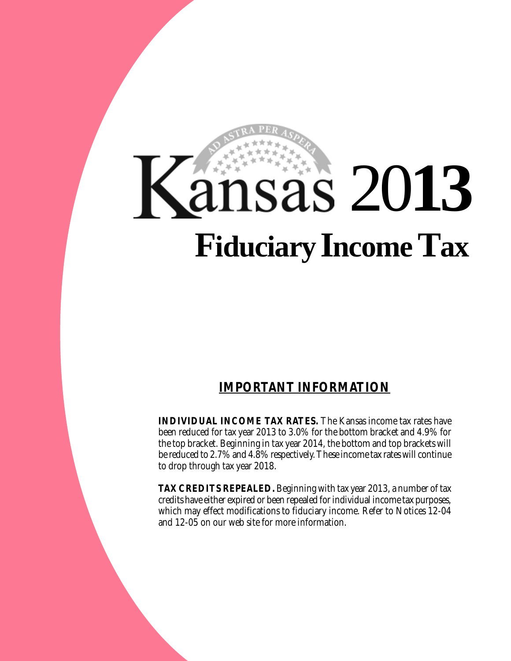# 20**13 FiduciaryIncome Tax**

## **IMPORTANT INFORMATION**

**INDIVIDUAL INCOME TAX RATES.** The Kansas income tax rates have been reduced for tax year 2013 to 3.0% for the bottom bracket and 4.9% for the top bracket. Beginning in tax year 2014, the bottom and top brackets will be reduced to 2.7% and 4.8% respectively. These income tax rates will continue to drop through tax year 2018.

**TAX CREDITS REPEALED.** Beginning with tax year 2013, a number of tax credits have either expired or been repealed for individual income tax purposes, which may effect modifications to fiduciary income. Refer to Notices 12-04 and 12-05 on our web site for more information.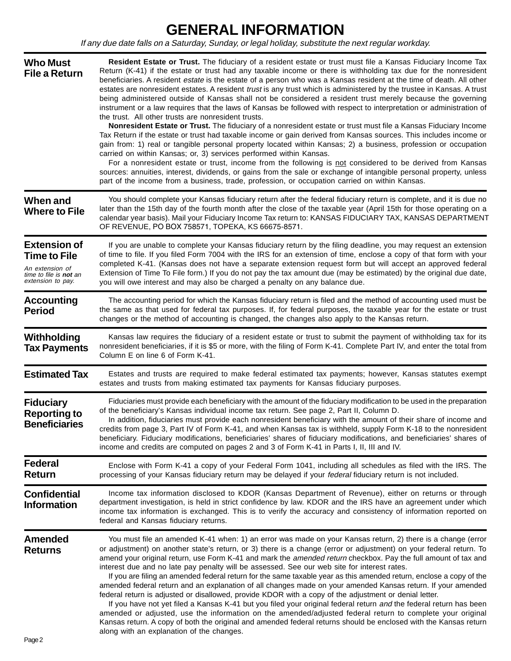## **GENERAL INFORMATION**

If any due date falls on a Saturday, Sunday, or legal holiday, substitute the next regular workday.

| <b>Who Must</b><br><b>File a Return</b>                                                                             | Resident Estate or Trust. The fiduciary of a resident estate or trust must file a Kansas Fiduciary Income Tax<br>Return (K-41) if the estate or trust had any taxable income or there is withholding tax due for the nonresident<br>beneficiaries. A resident estate is the estate of a person who was a Kansas resident at the time of death. All other<br>estates are nonresident estates. A resident trust is any trust which is administered by the trustee in Kansas. A trust<br>being administered outside of Kansas shall not be considered a resident trust merely because the governing<br>instrument or a law requires that the laws of Kansas be followed with respect to interpretation or administration of<br>the trust. All other trusts are nonresident trusts.<br>Nonresident Estate or Trust. The fiduciary of a nonresident estate or trust must file a Kansas Fiduciary Income<br>Tax Return if the estate or trust had taxable income or gain derived from Kansas sources. This includes income or<br>gain from: 1) real or tangible personal property located within Kansas; 2) a business, profession or occupation<br>carried on within Kansas; or, 3) services performed within Kansas.<br>For a nonresident estate or trust, income from the following is not considered to be derived from Kansas<br>sources: annuities, interest, dividends, or gains from the sale or exchange of intangible personal property, unless<br>part of the income from a business, trade, profession, or occupation carried on within Kansas. |
|---------------------------------------------------------------------------------------------------------------------|-------------------------------------------------------------------------------------------------------------------------------------------------------------------------------------------------------------------------------------------------------------------------------------------------------------------------------------------------------------------------------------------------------------------------------------------------------------------------------------------------------------------------------------------------------------------------------------------------------------------------------------------------------------------------------------------------------------------------------------------------------------------------------------------------------------------------------------------------------------------------------------------------------------------------------------------------------------------------------------------------------------------------------------------------------------------------------------------------------------------------------------------------------------------------------------------------------------------------------------------------------------------------------------------------------------------------------------------------------------------------------------------------------------------------------------------------------------------------------------------------------------------------------------------------------|
| When and<br><b>Where to File</b>                                                                                    | You should complete your Kansas fiduciary return after the federal fiduciary return is complete, and it is due no<br>later than the 15th day of the fourth month after the close of the taxable year (April 15th for those operating on a<br>calendar year basis). Mail your Fiduciary Income Tax return to: KANSAS FIDUCIARY TAX, KANSAS DEPARTMENT<br>OF REVENUE, PO BOX 758571, TOPEKA, KS 66675-8571.                                                                                                                                                                                                                                                                                                                                                                                                                                                                                                                                                                                                                                                                                                                                                                                                                                                                                                                                                                                                                                                                                                                                             |
| <b>Extension of</b><br><b>Time to File</b><br>An extension of<br>time to file is <b>not</b> an<br>extension to pay. | If you are unable to complete your Kansas fiduciary return by the filing deadline, you may request an extension<br>of time to file. If you filed Form 7004 with the IRS for an extension of time, enclose a copy of that form with your<br>completed K-41. (Kansas does not have a separate extension request form but will accept an approved federal<br>Extension of Time To File form.) If you do not pay the tax amount due (may be estimated) by the original due date,<br>you will owe interest and may also be charged a penalty on any balance due.                                                                                                                                                                                                                                                                                                                                                                                                                                                                                                                                                                                                                                                                                                                                                                                                                                                                                                                                                                                           |
| <b>Accounting</b><br><b>Period</b>                                                                                  | The accounting period for which the Kansas fiduciary return is filed and the method of accounting used must be<br>the same as that used for federal tax purposes. If, for federal purposes, the taxable year for the estate or trust<br>changes or the method of accounting is changed, the changes also apply to the Kansas return.                                                                                                                                                                                                                                                                                                                                                                                                                                                                                                                                                                                                                                                                                                                                                                                                                                                                                                                                                                                                                                                                                                                                                                                                                  |
| Withholding<br><b>Tax Payments</b>                                                                                  | Kansas law requires the fiduciary of a resident estate or trust to submit the payment of withholding tax for its<br>nonresident beneficiaries, if it is \$5 or more, with the filing of Form K-41. Complete Part IV, and enter the total from<br>Column E on line 6 of Form K-41.                                                                                                                                                                                                                                                                                                                                                                                                                                                                                                                                                                                                                                                                                                                                                                                                                                                                                                                                                                                                                                                                                                                                                                                                                                                                     |
| <b>Estimated Tax</b>                                                                                                | Estates and trusts are required to make federal estimated tax payments; however, Kansas statutes exempt<br>estates and trusts from making estimated tax payments for Kansas fiduciary purposes.                                                                                                                                                                                                                                                                                                                                                                                                                                                                                                                                                                                                                                                                                                                                                                                                                                                                                                                                                                                                                                                                                                                                                                                                                                                                                                                                                       |
| <b>Fiduciary</b><br><b>Reporting to</b><br><b>Beneficiaries</b>                                                     | Fiduciaries must provide each beneficiary with the amount of the fiduciary modification to be used in the preparation<br>of the beneficiary's Kansas individual income tax return. See page 2, Part II, Column D.<br>In addition, fiduciaries must provide each nonresident beneficiary with the amount of their share of income and<br>credits from page 3, Part IV of Form K-41, and when Kansas tax is withheld, supply Form K-18 to the nonresident<br>beneficiary. Fiduciary modifications, beneficiaries' shares of fiduciary modifications, and beneficiaries' shares of<br>income and credits are computed on pages 2 and 3 of Form K-41 in Parts I, II, III and IV.                                                                                                                                                                                                                                                                                                                                                                                                                                                                                                                                                                                                                                                                                                                                                                                                                                                                          |
| <b>Federal</b><br><b>Return</b>                                                                                     | Enclose with Form K-41 a copy of your Federal Form 1041, including all schedules as filed with the IRS. The<br>processing of your Kansas fiduciary return may be delayed if your federal fiduciary return is not included.                                                                                                                                                                                                                                                                                                                                                                                                                                                                                                                                                                                                                                                                                                                                                                                                                                                                                                                                                                                                                                                                                                                                                                                                                                                                                                                            |
| <b>Confidential</b><br><b>Information</b>                                                                           | Income tax information disclosed to KDOR (Kansas Department of Revenue), either on returns or through<br>department investigation, is held in strict confidence by law. KDOR and the IRS have an agreement under which<br>income tax information is exchanged. This is to verify the accuracy and consistency of information reported on<br>federal and Kansas fiduciary returns.                                                                                                                                                                                                                                                                                                                                                                                                                                                                                                                                                                                                                                                                                                                                                                                                                                                                                                                                                                                                                                                                                                                                                                     |
| <b>Amended</b><br><b>Returns</b>                                                                                    | You must file an amended K-41 when: 1) an error was made on your Kansas return, 2) there is a change (error<br>or adjustment) on another state's return, or 3) there is a change (error or adjustment) on your federal return. To<br>amend your original return, use Form K-41 and mark the amended return checkbox. Pay the full amount of tax and<br>interest due and no late pay penalty will be assessed. See our web site for interest rates.<br>If you are filing an amended federal return for the same taxable year as this amended return, enclose a copy of the<br>amended federal return and an explanation of all changes made on your amended Kansas return. If your amended<br>federal return is adjusted or disallowed, provide KDOR with a copy of the adjustment or denial letter.<br>If you have not yet filed a Kansas K-41 but you filed your original federal return and the federal return has been<br>amended or adjusted, use the information on the amended/adjusted federal return to complete your original<br>Kansas return. A copy of both the original and amended federal returns should be enclosed with the Kansas return<br>along with an explanation of the changes.                                                                                                                                                                                                                                                                                                                                               |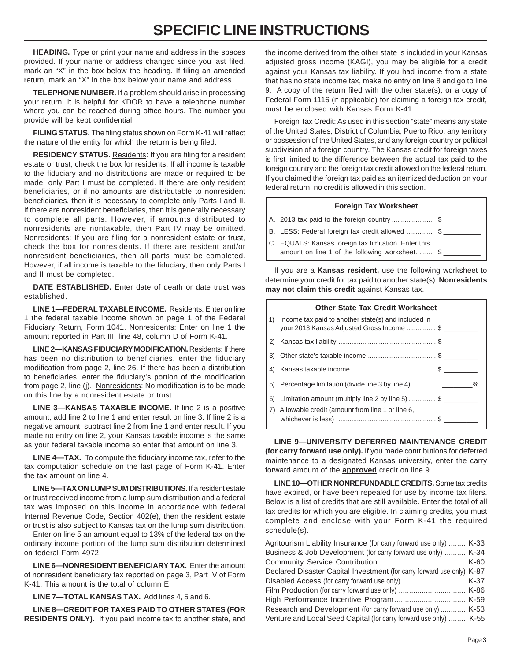## **SPECIFIC LINE INSTRUCTIONS**

**HEADING.** Type or print your name and address in the spaces provided. If your name or address changed since you last filed, mark an "X" in the box below the heading. If filing an amended return, mark an "X" in the box below your name and address.

**TELEPHONE NUMBER.** If a problem should arise in processing your return, it is helpful for KDOR to have a telephone number where you can be reached during office hours. The number you provide will be kept confidential.

**FILING STATUS.** The filing status shown on Form K-41 will reflect the nature of the entity for which the return is being filed.

**RESIDENCY STATUS.** Residents: If you are filing for a resident estate or trust, check the box for residents. If all income is taxable to the fiduciary and no distributions are made or required to be made, only Part I must be completed. If there are only resident beneficiaries, or if no amounts are distributable to nonresident beneficiaries, then it is necessary to complete only Parts I and II. If there are nonresident beneficiaries, then it is generally necessary to complete all parts. However, if amounts distributed to nonresidents are nontaxable, then Part IV may be omitted. Nonresidents: If you are filing for a nonresident estate or trust, check the box for nonresidents. If there are resident and/or nonresident beneficiaries, then all parts must be completed. However, if all income is taxable to the fiduciary, then only Parts I and II must be completed.

**DATE ESTABLISHED.** Enter date of death or date trust was established.

**LINE 1—FEDERAL TAXABLE INCOME.** Residents: Enter on line 1 the federal taxable income shown on page 1 of the Federal Fiduciary Return, Form 1041. Nonresidents: Enter on line 1 the amount reported in Part III, line 48, column D of Form K-41.

**LINE 2—KANSAS FIDUCIARY MODIFICATION.** Residents: If there has been no distribution to beneficiaries, enter the fiduciary modification from page 2, line 26. If there has been a distribution to beneficiaries, enter the fiduciary's portion of the modification from page 2, line (j). Nonresidents: No modification is to be made on this line by a nonresident estate or trust.

**LINE 3—KANSAS TAXABLE INCOME.** If line 2 is a positive amount, add line 2 to line 1 and enter result on line 3. If line 2 is a negative amount, subtract line 2 from line 1 and enter result. If you made no entry on line 2, your Kansas taxable income is the same as your federal taxable income so enter that amount on line 3.

**LINE 4—TAX.** To compute the fiduciary income tax, refer to the tax computation schedule on the last page of Form K-41. Enter the tax amount on line 4.

**LINE 5—TAX ON LUMP SUM DISTRIBUTIONS.** If a resident estate or trust received income from a lump sum distribution and a federal tax was imposed on this income in accordance with federal Internal Revenue Code, Section 402(e), then the resident estate or trust is also subject to Kansas tax on the lump sum distribution.

Enter on line 5 an amount equal to 13% of the federal tax on the ordinary income portion of the lump sum distribution determined on federal Form 4972.

**LINE 6—NONRESIDENT BENEFICIARY TAX.** Enter the amount of nonresident beneficiary tax reported on page 3, Part IV of Form K-41. This amount is the total of column E.

**LINE 7—TOTAL KANSAS TAX.** Add lines 4, 5 and 6.

**LINE 8—CREDIT FOR TAXES PAID TO OTHER STATES (FOR RESIDENTS ONLY).** If you paid income tax to another state, and

the income derived from the other state is included in your Kansas adjusted gross income (KAGI), you may be eligible for a credit against your Kansas tax liability. If you had income from a state that has no state income tax, make no entry on line 8 and go to line 9. A copy of the return filed with the other state(s), or a copy of Federal Form 1116 (if applicable) for claiming a foreign tax credit, must be enclosed with Kansas Form K-41.

Foreign Tax Credit: As used in this section "state" means any state of the United States, District of Columbia, Puerto Rico, any territory or possession of the United States, and any foreign country or political subdivision of a foreign country. The Kansas credit for foreign taxes is first limited to the difference between the actual tax paid to the foreign country and the foreign tax credit allowed on the federal return. If you claimed the foreign tax paid as an itemized deduction on your federal return, no credit is allowed in this section.

#### **Foreign Tax Worksheet**

- A. 2013 tax paid to the foreign country ............................ \$
- B. LESS: Federal foreign tax credit allowed ............... \$
- C. EQUALS: Kansas foreign tax limitation. Enter this amount on line 1 of the following worksheet. ....... \$

If you are a **Kansas resident,** use the following worksheet to determine your credit for tax paid to another state(s). **Nonresidents may not claim this credit** against Kansas tax.

|              | <b>Other State Tax Credit Worksheet</b>                                                             |
|--------------|-----------------------------------------------------------------------------------------------------|
| 1)           | Income tax paid to another state(s) and included in<br>your 2013 Kansas Adjusted Gross Income  \$   |
| $\mathbf{2}$ |                                                                                                     |
| 3)           |                                                                                                     |
| 4)           |                                                                                                     |
| 5)           | Percentage limitation (divide line 3 by line 4)                                                     |
| 6)           | Limitation amount (multiply line 2 by line 5) \$<br>Allowable credit (amount from line 1 or line 6, |

**LINE 9—UNIVERSITY DEFERRED MAINTENANCE CREDIT (for carry forward use only).** If you made contributions for deferred maintenance to a designated Kansas university, enter the carry forward amount of the **approved** credit on line 9.

**LINE 10—OTHER NONREFUNDABLE CREDITS.** Some tax credits have expired, or have been repealed for use by income tax filers. Below is a list of credits that are still available. Enter the total of all tax credits for which you are eligible. In claiming credits, you must complete and enclose with your Form K-41 the required schedule(s).

| Agritourism Liability Insurance (for carry forward use only)  K-33     |  |
|------------------------------------------------------------------------|--|
| Business & Job Development (for carry forward use only)  K-34          |  |
|                                                                        |  |
| Declared Disaster Capital Investment (for carry forward use only) K-87 |  |
|                                                                        |  |
|                                                                        |  |
|                                                                        |  |
| Research and Development (for carry forward use only)  K-53            |  |
| Venture and Local Seed Capital (for carry forward use only)  K-55      |  |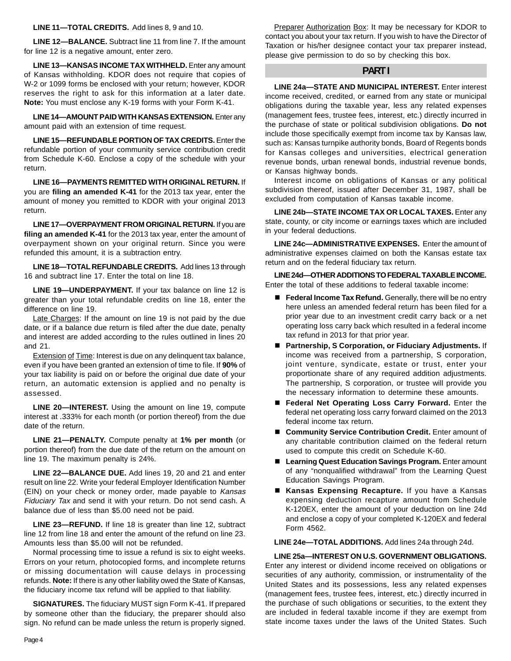**LINE 11—TOTAL CREDITS.** Add lines 8, 9 and 10.

**LINE 12—BALANCE.** Subtract line 11 from line 7. If the amount for line 12 is a negative amount, enter zero.

**LINE 13—KANSAS INCOME TAX WITHHELD.** Enter any amount of Kansas withholding. KDOR does not require that copies of W-2 or 1099 forms be enclosed with your return; however, KDOR reserves the right to ask for this information at a later date. **Note:** You must enclose any K-19 forms with your Form K-41.

**LINE 14—AMOUNT PAID WITH KANSAS EXTENSION.** Enter any amount paid with an extension of time request.

**LINE 15—REFUNDABLE PORTION OF TAX CREDITS.** Enter the refundable portion of your community service contribution credit from Schedule K-60. Enclose a copy of the schedule with your return.

**LINE 16—PAYMENTS REMITTED WITH ORIGINAL RETURN.** If you are **filing an amended K-41** for the 2013 tax year, enter the amount of money you remitted to KDOR with your original 2013 return.

**LINE 17—OVERPAYMENT FROM ORIGINAL RETURN.** If you are **filing an amended K-41** for the 2013 tax year, enter the amount of overpayment shown on your original return. Since you were refunded this amount, it is a subtraction entry.

**LINE 18—TOTAL REFUNDABLE CREDITS.** Add lines 13 through 16 and subtract line 17. Enter the total on line 18.

**LINE 19—UNDERPAYMENT.** If your tax balance on line 12 is greater than your total refundable credits on line 18, enter the difference on line 19.

Late Charges: If the amount on line 19 is not paid by the due date, or if a balance due return is filed after the due date, penalty and interest are added according to the rules outlined in lines 20 and 21.

Extension of Time: Interest is due on any delinquent tax balance, even if you have been granted an extension of time to file. If **90%** of your tax liability is paid on or before the original due date of your return, an automatic extension is applied and no penalty is assessed.

**LINE 20—INTEREST.** Using the amount on line 19, compute interest at .333% for each month (or portion thereof) from the due date of the return.

**LINE 21—PENALTY.** Compute penalty at **1% per month** (or portion thereof) from the due date of the return on the amount on line 19. The maximum penalty is 24%.

**LINE 22—BALANCE DUE.** Add lines 19, 20 and 21 and enter result on line 22. Write your federal Employer Identification Number (EIN) on your check or money order, made payable to Kansas Fiduciary Tax and send it with your return. Do not send cash. A balance due of less than \$5.00 need not be paid.

**LINE 23—REFUND.** If line 18 is greater than line 12, subtract line 12 from line 18 and enter the amount of the refund on line 23. Amounts less than \$5.00 will not be refunded.

Normal processing time to issue a refund is six to eight weeks. Errors on your return, photocopied forms, and incomplete returns or missing documentation will cause delays in processing refunds. **Note:** If there is any other liability owed the State of Kansas, the fiduciary income tax refund will be applied to that liability.

**SIGNATURES.** The fiduciary MUST sign Form K-41. If prepared by someone other than the fiduciary, the preparer should also sign. No refund can be made unless the return is properly signed.

Preparer Authorization Box: It may be necessary for KDOR to contact you about your tax return. If you wish to have the Director of Taxation or his/her designee contact your tax preparer instead, please give permission to do so by checking this box.

#### **PART I**

**LINE 24a—STATE AND MUNICIPAL INTEREST.** Enter interest income received, credited, or earned from any state or municipal obligations during the taxable year, less any related expenses (management fees, trustee fees, interest, etc.) directly incurred in the purchase of state or political subdivision obligations. **Do not**  include those specifically exempt from income tax by Kansas law, such as: Kansas turnpike authority bonds, Board of Regents bonds for Kansas colleges and universities, electrical generation revenue bonds, urban renewal bonds, industrial revenue bonds, or Kansas highway bonds.

Interest income on obligations of Kansas or any political subdivision thereof, issued after December 31, 1987, shall be excluded from computation of Kansas taxable income.

**LINE 24b—STATE INCOME TAX OR LOCAL TAXES.** Enter any state, county, or city income or earnings taxes which are included in your federal deductions.

**LINE 24c—ADMINISTRATIVE EXPENSES.** Enter the amount of administrative expenses claimed on both the Kansas estate tax return and on the federal fiduciary tax return.

**LINE 24d—OTHER ADDITIONS TO FEDERAL TAXABLE INCOME.**  Enter the total of these additions to federal taxable income:

- **Federal Income Tax Refund.** Generally, there will be no entry here unless an amended federal return has been filed for a prior year due to an investment credit carry back or a net operating loss carry back which resulted in a federal income tax refund in 2013 for that prior year.
- **Partnership, S Corporation, or Fiduciary Adjustments.** If income was received from a partnership, S corporation, joint venture, syndicate, estate or trust, enter your proportionate share of any required addition adjustments. The partnership, S corporation, or trustee will provide you the necessary information to determine these amounts.
- **Federal Net Operating Loss Carry Forward.** Enter the federal net operating loss carry forward claimed on the 2013 federal income tax return.
- **Community Service Contribution Credit.** Enter amount of any charitable contribution claimed on the federal return used to compute this credit on Schedule K-60.
- **Learning Quest Education Savings Program.** Enter amount of any "nonqualified withdrawal" from the Learning Quest Education Savings Program.
- **Kansas Expensing Recapture.** If you have a Kansas expensing deduction recapture amount from Schedule K-120EX, enter the amount of your deduction on line 24d and enclose a copy of your completed K-120EX and federal Form 4562.

**LINE 24e—TOTAL ADDITIONS.** Add lines 24a through 24d.

#### **LINE 25a—INTEREST ON U.S. GOVERNMENT OBLIGATIONS.**

Enter any interest or dividend income received on obligations or securities of any authority, commission, or instrumentality of the United States and its possessions, less any related expenses (management fees, trustee fees, interest, etc.) directly incurred in the purchase of such obligations or securities, to the extent they are included in federal taxable income if they are exempt from state income taxes under the laws of the United States. Such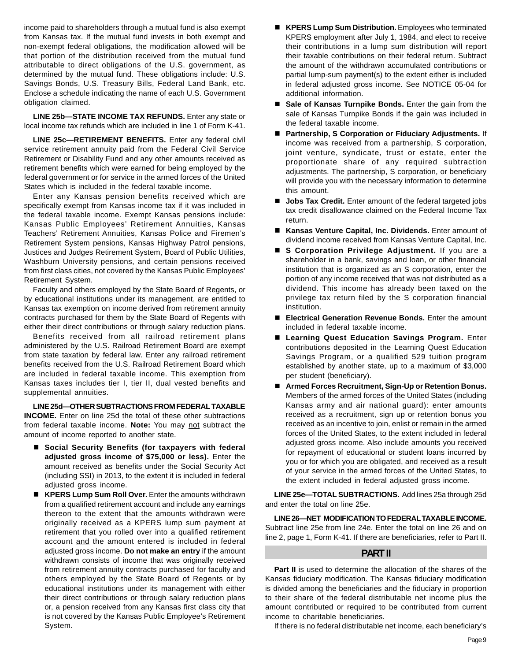income paid to shareholders through a mutual fund is also exempt from Kansas tax. If the mutual fund invests in both exempt and non-exempt federal obligations, the modification allowed will be that portion of the distribution received from the mutual fund attributable to direct obligations of the U.S. government, as determined by the mutual fund. These obligations include: U.S. Savings Bonds, U.S. Treasury Bills, Federal Land Bank, etc. Enclose a schedule indicating the name of each U.S. Government obligation claimed.

**LINE 25b—STATE INCOME TAX REFUNDS.** Enter any state or local income tax refunds which are included in line 1 of Form K-41.

LINE 25c-RETIREMENT BENEFITS. Enter any federal civil service retirement annuity paid from the Federal Civil Service Retirement or Disability Fund and any other amounts received as retirement benefits which were earned for being employed by the federal government or for service in the armed forces of the United States which is included in the federal taxable income.

Enter any Kansas pension benefits received which are specifically exempt from Kansas income tax if it was included in the federal taxable income. Exempt Kansas pensions include: Kansas Public Employees' Retirement Annuities, Kansas Teachers' Retirement Annuities, Kansas Police and Firemen's Retirement System pensions, Kansas Highway Patrol pensions, Justices and Judges Retirement System, Board of Public Utilities, Washburn University pensions, and certain pensions received from first class cities, not covered by the Kansas Public Employees' Retirement System.

Faculty and others employed by the State Board of Regents, or by educational institutions under its management, are entitled to Kansas tax exemption on income derived from retirement annuity contracts purchased for them by the State Board of Regents with either their direct contributions or through salary reduction plans.

Benefits received from all railroad retirement plans administered by the U.S. Railroad Retirement Board are exempt from state taxation by federal law. Enter any railroad retirement benefits received from the U.S. Railroad Retirement Board which are included in federal taxable income. This exemption from Kansas taxes includes tier I, tier II, dual vested benefits and supplemental annuities.

**LINE 25d—OTHER SUBTRACTIONS FROM FEDERAL TAXABLE INCOME.** Enter on line 25d the total of these other subtractions from federal taxable income. **Note:** You may not subtract the amount of income reported to another state.

- Social Security Benefits (for taxpayers with federal **adjusted gross income of \$75,000 or less).** Enter the amount received as benefits under the Social Security Act (including SSI) in 2013, to the extent it is included in federal adjusted gross income.
- **KPERS Lump Sum Roll Over.** Enter the amounts withdrawn from a qualified retirement account and include any earnings thereon to the extent that the amounts withdrawn were originally received as a KPERS lump sum payment at retirement that you rolled over into a qualified retirement account and the amount entered is included in federal adjusted gross income. **Do not make an entry** if the amount withdrawn consists of income that was originally received from retirement annuity contracts purchased for faculty and others employed by the State Board of Regents or by educational institutions under its management with either their direct contributions or through salary reduction plans or, a pension received from any Kansas first class city that is not covered by the Kansas Public Employee's Retirement System.
- **KPERS Lump Sum Distribution.** Employees who terminated KPERS employment after July 1, 1984, and elect to receive their contributions in a lump sum distribution will report their taxable contributions on their federal return. Subtract the amount of the withdrawn accumulated contributions or partial lump-sum payment(s) to the extent either is included in federal adjusted gross income. See NOTICE 05-04 for additional information.
- **Sale of Kansas Turnpike Bonds.** Enter the gain from the sale of Kansas Turnpike Bonds if the gain was included in the federal taxable income.
- **Partnership, S Corporation or Fiduciary Adjustments.** If income was received from a partnership, S corporation, joint venture, syndicate, trust or estate, enter the proportionate share of any required subtraction adjustments. The partnership, S corporation, or beneficiary will provide you with the necessary information to determine this amount.
- **Jobs Tax Credit.** Enter amount of the federal targeted jobs tax credit disallowance claimed on the Federal Income Tax return.
- **Kansas Venture Capital, Inc. Dividends.** Enter amount of dividend income received from Kansas Venture Capital, Inc.
- **S Corporation Privilege Adjustment.** If you are a shareholder in a bank, savings and loan, or other financial institution that is organized as an S corporation, enter the portion of any income received that was not distributed as a dividend. This income has already been taxed on the privilege tax return filed by the S corporation financial institution.
- **Electrical Generation Revenue Bonds.** Enter the amount included in federal taxable income.
- **Learning Quest Education Savings Program.** Enter contributions deposited in the Learning Quest Education Savings Program, or a qualified 529 tuition program established by another state, up to a maximum of \$3,000 per student (beneficiary).
- Armed Forces Recruitment, Sign-Up or Retention Bonus. Members of the armed forces of the United States (including Kansas army and air national guard): enter amounts received as a recruitment, sign up or retention bonus you received as an incentive to join, enlist or remain in the armed forces of the United States, to the extent included in federal adjusted gross income. Also include amounts you received for repayment of educational or student loans incurred by you or for which you are obligated, and received as a result of your service in the armed forces of the United States, to the extent included in federal adjusted gross income.

 **LINE 25e—TOTAL SUBTRACTIONS.** Add lines 25a through 25d and enter the total on line 25e.

**LINE 26—NET MODIFICATION TO FEDERAL TAXABLE INCOME.**  Subtract line 25e from line 24e. Enter the total on line 26 and on line 2, page 1, Form K-41. If there are beneficiaries, refer to Part II.

#### **PART II**

Part II is used to determine the allocation of the shares of the Kansas fiduciary modification. The Kansas fiduciary modification is divided among the beneficiaries and the fiduciary in proportion to their share of the federal distributable net income plus the amount contributed or required to be contributed from current income to charitable beneficiaries.

If there is no federal distributable net income, each beneficiary's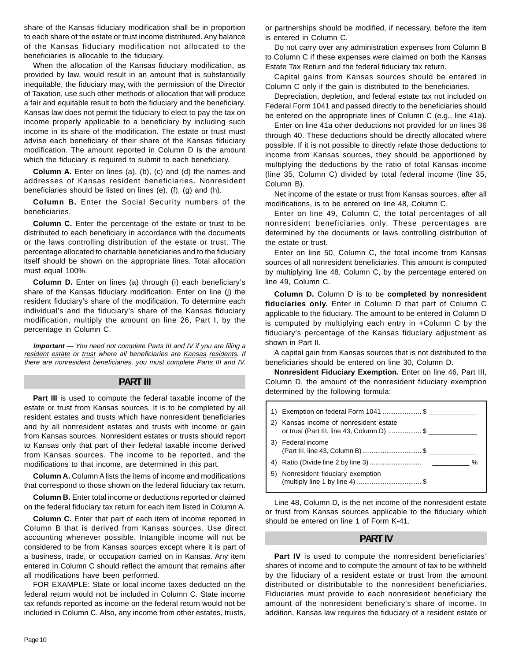share of the Kansas fiduciary modification shall be in proportion to each share of the estate or trust income distributed. Any balance of the Kansas fiduciary modification not allocated to the beneficiaries is allocable to the fiduciary.

When the allocation of the Kansas fiduciary modification, as provided by law, would result in an amount that is substantially inequitable, the fiduciary may, with the permission of the Director of Taxation, use such other methods of allocation that will produce a fair and equitable result to both the fiduciary and the beneficiary. Kansas law does not permit the fiduciary to elect to pay the tax on income properly applicable to a beneficiary by including such income in its share of the modification. The estate or trust must advise each beneficiary of their share of the Kansas fiduciary modification. The amount reported in Column D is the amount which the fiduciary is required to submit to each beneficiary.

**Column A.** Enter on lines (a), (b), (c) and (d) the names and addresses of Kansas resident beneficiaries. Nonresident beneficiaries should be listed on lines (e), (f), (g) and (h).

**Column B.** Enter the Social Security numbers of the beneficiaries.

**Column C.** Enter the percentage of the estate or trust to be distributed to each beneficiary in accordance with the documents or the laws controlling distribution of the estate or trust. The percentage allocated to charitable beneficiaries and to the fiduciary itself should be shown on the appropriate lines. Total allocation must equal 100%.

**Column D.** Enter on lines (a) through (i) each beneficiary's share of the Kansas fiduciary modification. Enter on line (j) the resident fiduciary's share of the modification. To determine each individual's and the fiduciary's share of the Kansas fiduciary modification, multiply the amount on line 26, Part I, by the percentage in Column C.

 resident estate or trust where all beneficiaries are Kansas residents. If **Important —** You need not complete Parts III and IV if you are filing a there are nonresident beneficiaries, you must complete Parts III and IV.

#### **PART III**

Part III is used to compute the federal taxable income of the estate or trust from Kansas sources. It is to be completed by all resident estates and trusts which have nonresident beneficiaries and by all nonresident estates and trusts with income or gain from Kansas sources. Nonresident estates or trusts should report to Kansas only that part of their federal taxable income derived from Kansas sources. The income to be reported, and the modifications to that income, are determined in this part.

**Column A.** Column A lists the items of income and modifications that correspond to those shown on the federal fiduciary tax return.

**Column B.** Enter total income or deductions reported or claimed on the federal fiduciary tax return for each item listed in Column A.

**Column C.** Enter that part of each item of income reported in Column B that is derived from Kansas sources. Use direct accounting whenever possible. Intangible income will not be considered to be from Kansas sources except where it is part of a business, trade, or occupation carried on in Kansas. Any item entered in Column C should reflect the amount that remains after all modifications have been performed.

FOR EXAMPLE: State or local income taxes deducted on the federal return would not be included in Column C. State income tax refunds reported as income on the federal return would not be included in Column C. Also, any income from other estates, trusts,

or partnerships should be modified, if necessary, before the item is entered in Column C.

Do not carry over any administration expenses from Column B to Column C if these expenses were claimed on both the Kansas Estate Tax Return and the federal fiduciary tax return.

Capital gains from Kansas sources should be entered in Column C only if the gain is distributed to the beneficiaries.

Depreciation, depletion, and federal estate tax not included on Federal Form 1041 and passed directly to the beneficiaries should be entered on the appropriate lines of Column C (e.g., line 41a).

Enter on line 41a other deductions not provided for on lines 36 through 40. These deductions should be directly allocated where possible. If it is not possible to directly relate those deductions to income from Kansas sources, they should be apportioned by multiplying the deductions by the ratio of total Kansas income (line 35, Column C) divided by total federal income (line 35, Column B).

Net income of the estate or trust from Kansas sources, after all modifications, is to be entered on line 48, Column C.

Enter on line 49, Column C, the total percentages of all nonresident beneficiaries only. These percentages are determined by the documents or laws controlling distribution of the estate or trust.

Enter on line 50, Column C, the total income from Kansas sources of all nonresident beneficiaries. This amount is computed by multiplying line 48, Column C, by the percentage entered on line 49, Column C.

**Column D.** Column D is to be **completed by nonresident fiduciaries only.** Enter in Column D that part of Column C applicable to the fiduciary. The amount to be entered in Column D is computed by multiplying each entry in +Column C by the fiduciary's percentage of the Kansas fiduciary adjustment as shown in Part II.

A capital gain from Kansas sources that is not distributed to the beneficiaries should be entered on line 30, Column D.

**Nonresident Fiduciary Exemption.** Enter on line 46, Part III, Column D, the amount of the nonresident fiduciary exemption determined by the following formula:

|    | 1) Exemption on federal Form 1041 \$                                             |
|----|----------------------------------------------------------------------------------|
|    | Kansas income of nonresident estate<br>or trust (Part III, line 43, Column D) \$ |
|    | Federal income<br>(Part III, line 43, Column B) \$                               |
|    | %                                                                                |
| 5) | Nonresident fiduciary exemption                                                  |

Line 48, Column D, is the net income of the nonresident estate or trust from Kansas sources applicable to the fiduciary which should be entered on line 1 of Form K-41.

#### **PART IV**

**Part IV** is used to compute the nonresident beneficiaries' shares of income and to compute the amount of tax to be withheld by the fiduciary of a resident estate or trust from the amount distributed or distributable to the nonresident beneficiaries. Fiduciaries must provide to each nonresident beneficiary the amount of the nonresident beneficiary's share of income. In addition, Kansas law requires the fiduciary of a resident estate or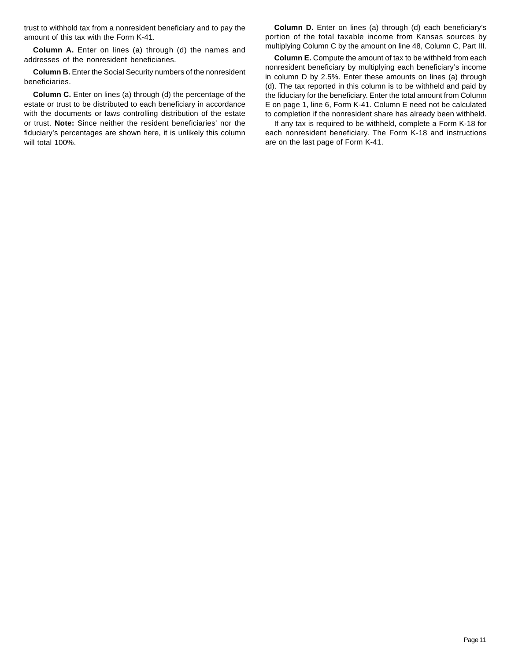trust to withhold tax from a nonresident beneficiary and to pay the amount of this tax with the Form K-41.

**Column A.** Enter on lines (a) through (d) the names and addresses of the nonresident beneficiaries.

**Column B.** Enter the Social Security numbers of the nonresident beneficiaries.

**Column C.** Enter on lines (a) through (d) the percentage of the estate or trust to be distributed to each beneficiary in accordance with the documents or laws controlling distribution of the estate or trust. **Note:** Since neither the resident beneficiaries' nor the fiduciary's percentages are shown here, it is unlikely this column will total 100%.

**Column D.** Enter on lines (a) through (d) each beneficiary's portion of the total taxable income from Kansas sources by multiplying Column C by the amount on line 48, Column C, Part III.

**Column E.** Compute the amount of tax to be withheld from each nonresident beneficiary by multiplying each beneficiary's income in column D by 2.5%. Enter these amounts on lines (a) through (d). The tax reported in this column is to be withheld and paid by the fiduciary for the beneficiary. Enter the total amount from Column E on page 1, line 6, Form K-41. Column E need not be calculated to completion if the nonresident share has already been withheld.

If any tax is required to be withheld, complete a Form K-18 for each nonresident beneficiary. The Form K-18 and instructions are on the last page of Form K-41.